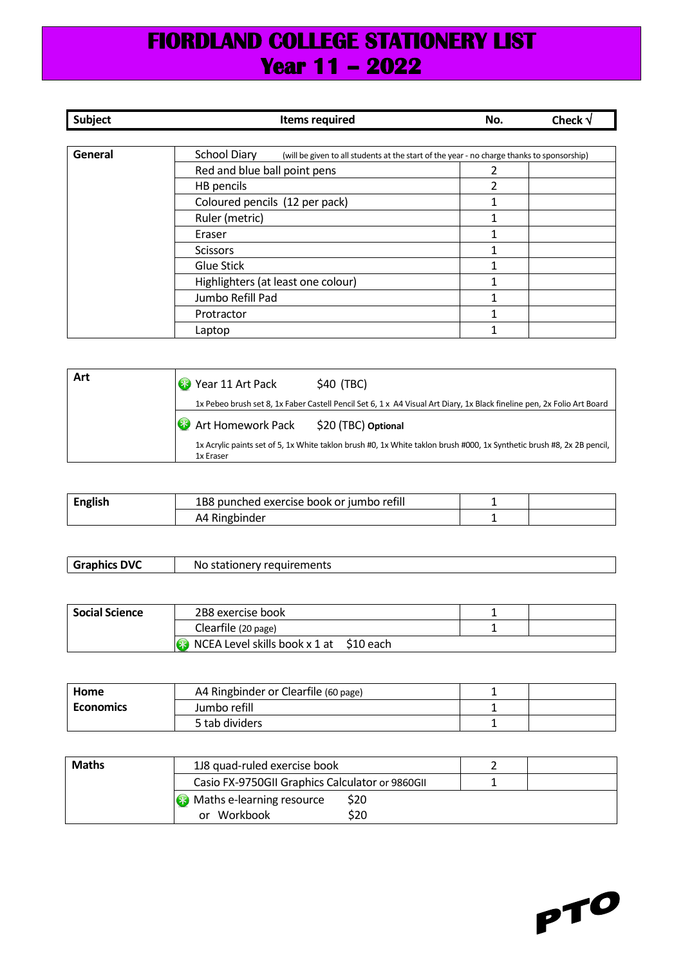## **FIORDLAND COLLEGE STATIONERY LIST Year 11 – 2022**

| <b>Subject</b> | <b>Items required</b>                                                                                      | No. | Check $\sqrt{}$ |
|----------------|------------------------------------------------------------------------------------------------------------|-----|-----------------|
|                |                                                                                                            |     |                 |
| General        | School Diary<br>(will be given to all students at the start of the year - no charge thanks to sponsorship) |     |                 |
|                | Red and blue ball point pens                                                                               |     |                 |
|                | HB pencils                                                                                                 | 2   |                 |
|                | Coloured pencils (12 per pack)                                                                             |     |                 |
|                | Ruler (metric)                                                                                             |     |                 |
|                | Eraser                                                                                                     |     |                 |
|                | <b>Scissors</b>                                                                                            |     |                 |
|                | <b>Glue Stick</b>                                                                                          |     |                 |
|                | Highlighters (at least one colour)                                                                         |     |                 |
|                | Jumbo Refill Pad                                                                                           |     |                 |
|                | Protractor                                                                                                 |     |                 |
|                | Laptop                                                                                                     |     |                 |

| Art | <b>B</b> Year 11 Art Pack<br>\$40 (TBC)                                                                                             |
|-----|-------------------------------------------------------------------------------------------------------------------------------------|
|     | 1x Pebeo brush set 8, 1x Faber Castell Pencil Set 6, 1 x A4 Visual Art Diary, 1x Black fineline pen, 2x Folio Art Board             |
|     | <b>B</b> Art Homework Pack \$20 (TBC) Optional                                                                                      |
|     | 1x Acrylic paints set of 5, 1x White taklon brush #0, 1x White taklon brush #000, 1x Synthetic brush #8, 2x 2B pencil,<br>1x Eraser |

| 1B8 punched exercise book or jumbo refill |  |
|-------------------------------------------|--|
| 44                                        |  |

| <b>DVC</b><br>Granhics | ----------<br>NΟ<br>rv reduirements<br>stationer |
|------------------------|--------------------------------------------------|
|                        |                                                  |

| <b>Social Science</b> | 2B8 exercise book                                        |  |
|-----------------------|----------------------------------------------------------|--|
|                       | Clearfile (20 page)                                      |  |
|                       | $\sqrt{10}$ NCEA Level skills book x 1 at $\sin 10$ each |  |

| Home             | A4 Ringbinder or Clearfile (60 page) |  |
|------------------|--------------------------------------|--|
| <b>Economics</b> | Jumbo refill                         |  |
|                  | 5 tab dividers                       |  |

| <b>Maths</b> | 1J8 quad-ruled exercise book                    |      |  |
|--------------|-------------------------------------------------|------|--|
|              | Casio FX-9750GII Graphics Calculator or 9860GII |      |  |
|              | <b>B</b> Maths e-learning resource              | \$20 |  |
|              | or Workbook                                     | \$20 |  |